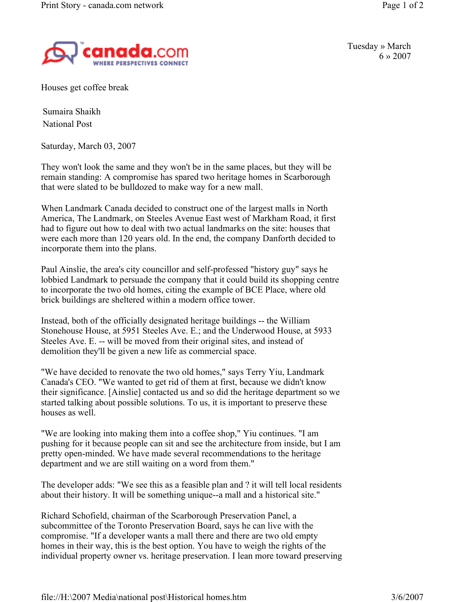

Tuesday » March 6 » 2007

Houses get coffee break

Sumaira Shaikh National Post

Saturday, March 03, 2007

They won't look the same and they won't be in the same places, but they will be remain standing: A compromise has spared two heritage homes in Scarborough that were slated to be bulldozed to make way for a new mall.

When Landmark Canada decided to construct one of the largest malls in North America, The Landmark, on Steeles Avenue East west of Markham Road, it first had to figure out how to deal with two actual landmarks on the site: houses that were each more than 120 years old. In the end, the company Danforth decided to incorporate them into the plans.

Paul Ainslie, the area's city councillor and self-professed "history guy" says he lobbied Landmark to persuade the company that it could build its shopping centre to incorporate the two old homes, citing the example of BCE Place, where old brick buildings are sheltered within a modern office tower.

Instead, both of the officially designated heritage buildings -- the William Stonehouse House, at 5951 Steeles Ave. E.; and the Underwood House, at 5933 Steeles Ave. E. -- will be moved from their original sites, and instead of demolition they'll be given a new life as commercial space.

"We have decided to renovate the two old homes," says Terry Yiu, Landmark Canada's CEO. "We wanted to get rid of them at first, because we didn't know their significance. [Ainslie] contacted us and so did the heritage department so we started talking about possible solutions. To us, it is important to preserve these houses as well.

"We are looking into making them into a coffee shop," Yiu continues. "I am pushing for it because people can sit and see the architecture from inside, but I am pretty open-minded. We have made several recommendations to the heritage department and we are still waiting on a word from them."

The developer adds: "We see this as a feasible plan and ? it will tell local residents about their history. It will be something unique--a mall and a historical site."

Richard Schofield, chairman of the Scarborough Preservation Panel, a subcommittee of the Toronto Preservation Board, says he can live with the compromise. "If a developer wants a mall there and there are two old empty homes in their way, this is the best option. You have to weigh the rights of the individual property owner vs. heritage preservation. I lean more toward preserving